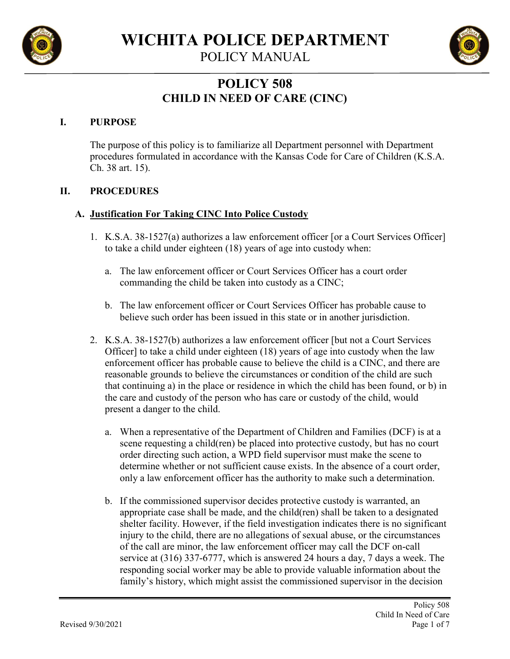

**WICHITA POLICE DEPARTMENT**

POLICY MANUAL

# **POLICY 508 CHILD IN NEED OF CARE (CINC)**

### **I. PURPOSE**

The purpose of this policy is to familiarize all Department personnel with Department procedures formulated in accordance with the Kansas Code for Care of Children (K.S.A. Ch. 38 art. 15).

#### **II. PROCEDURES**

#### **A. Justification For Taking CINC Into Police Custody**

- 1. K.S.A. 38-1527(a) authorizes a law enforcement officer [or a Court Services Officer] to take a child under eighteen (18) years of age into custody when:
	- a. The law enforcement officer or Court Services Officer has a court order commanding the child be taken into custody as a CINC;
	- b. The law enforcement officer or Court Services Officer has probable cause to believe such order has been issued in this state or in another jurisdiction.
- 2. K.S.A. 38-1527(b) authorizes a law enforcement officer [but not a Court Services Officer] to take a child under eighteen (18) years of age into custody when the law enforcement officer has probable cause to believe the child is a CINC, and there are reasonable grounds to believe the circumstances or condition of the child are such that continuing a) in the place or residence in which the child has been found, or b) in the care and custody of the person who has care or custody of the child, would present a danger to the child.
	- a. When a representative of the Department of Children and Families (DCF) is at a scene requesting a child(ren) be placed into protective custody, but has no court order directing such action, a WPD field supervisor must make the scene to determine whether or not sufficient cause exists. In the absence of a court order, only a law enforcement officer has the authority to make such a determination.
	- b. If the commissioned supervisor decides protective custody is warranted, an appropriate case shall be made, and the child(ren) shall be taken to a designated shelter facility. However, if the field investigation indicates there is no significant injury to the child, there are no allegations of sexual abuse, or the circumstances of the call are minor, the law enforcement officer may call the DCF on-call service at (316) 337-6777, which is answered 24 hours a day, 7 days a week. The responding social worker may be able to provide valuable information about the family's history, which might assist the commissioned supervisor in the decision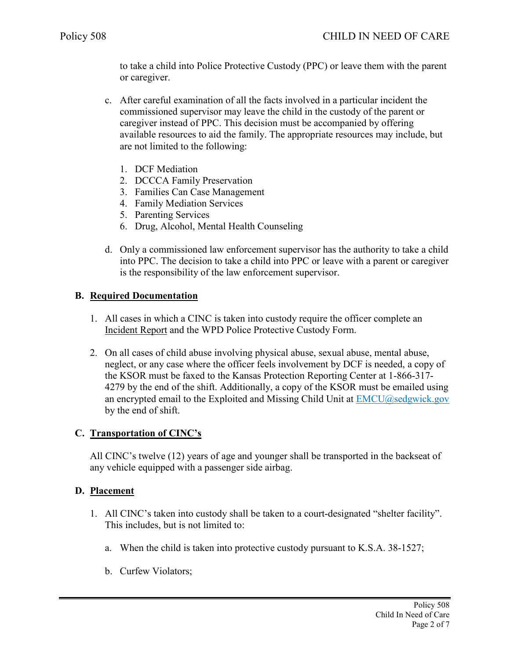to take a child into Police Protective Custody (PPC) or leave them with the parent or caregiver.

- c. After careful examination of all the facts involved in a particular incident the commissioned supervisor may leave the child in the custody of the parent or caregiver instead of PPC. This decision must be accompanied by offering available resources to aid the family. The appropriate resources may include, but are not limited to the following:
	- 1. DCF Mediation
	- 2. DCCCA Family Preservation
	- 3. Families Can Case Management
	- 4. Family Mediation Services
	- 5. Parenting Services
	- 6. Drug, Alcohol, Mental Health Counseling
- d. Only a commissioned law enforcement supervisor has the authority to take a child into PPC. The decision to take a child into PPC or leave with a parent or caregiver is the responsibility of the law enforcement supervisor.

#### **B. Required Documentation**

- 1. All cases in which a CINC is taken into custody require the officer complete an Incident Report and the WPD Police Protective Custody Form.
- 2. On all cases of child abuse involving physical abuse, sexual abuse, mental abuse, neglect, or any case where the officer feels involvement by DCF is needed, a copy of the KSOR must be faxed to the Kansas Protection Reporting Center at 1-866-317- 4279 by the end of the shift. Additionally, a copy of the KSOR must be emailed using an encrypted email to the Exploited and Missing Child Unit at [EMCU@sedgwick.gov](mailto:EMCU@sedgwick.gov) by the end of shift.

#### **C. Transportation of CINC's**

All CINC's twelve (12) years of age and younger shall be transported in the backseat of any vehicle equipped with a passenger side airbag.

#### **D. Placement**

- 1. All CINC's taken into custody shall be taken to a court-designated "shelter facility". This includes, but is not limited to:
	- a. When the child is taken into protective custody pursuant to K.S.A. 38-1527;
	- b. Curfew Violators;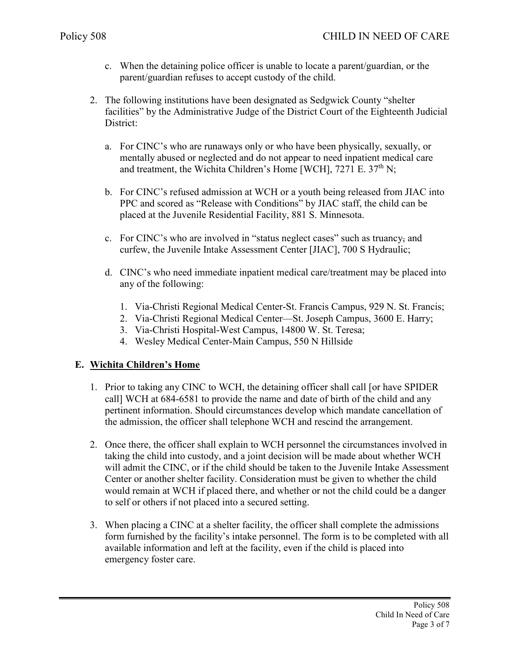- c. When the detaining police officer is unable to locate a parent/guardian, or the parent/guardian refuses to accept custody of the child.
- 2. The following institutions have been designated as Sedgwick County "shelter facilities" by the Administrative Judge of the District Court of the Eighteenth Judicial District:
	- a. For CINC's who are runaways only or who have been physically, sexually, or mentally abused or neglected and do not appear to need inpatient medical care and treatment, the Wichita Children's Home [WCH], 7271 E. 37<sup>th</sup> N;
	- b. For CINC's refused admission at WCH or a youth being released from JIAC into PPC and scored as "Release with Conditions" by JIAC staff, the child can be placed at the Juvenile Residential Facility, 881 S. Minnesota.
	- c. For CINC's who are involved in "status neglect cases" such as truancy, and curfew, the Juvenile Intake Assessment Center [JIAC], 700 S Hydraulic;
	- d. CINC's who need immediate inpatient medical care/treatment may be placed into any of the following:
		- 1. Via-Christi Regional Medical Center-St. Francis Campus, 929 N. St. Francis;
		- 2. Via-Christi Regional Medical Center—St. Joseph Campus, 3600 E. Harry;
		- 3. Via-Christi Hospital-West Campus, 14800 W. St. Teresa;
		- 4. Wesley Medical Center-Main Campus, 550 N Hillside

#### **E. Wichita Children's Home**

- 1. Prior to taking any CINC to WCH, the detaining officer shall call [or have SPIDER call] WCH at 684-6581 to provide the name and date of birth of the child and any pertinent information. Should circumstances develop which mandate cancellation of the admission, the officer shall telephone WCH and rescind the arrangement.
- 2. Once there, the officer shall explain to WCH personnel the circumstances involved in taking the child into custody, and a joint decision will be made about whether WCH will admit the CINC, or if the child should be taken to the Juvenile Intake Assessment Center or another shelter facility. Consideration must be given to whether the child would remain at WCH if placed there, and whether or not the child could be a danger to self or others if not placed into a secured setting.
- 3. When placing a CINC at a shelter facility, the officer shall complete the admissions form furnished by the facility's intake personnel. The form is to be completed with all available information and left at the facility, even if the child is placed into emergency foster care.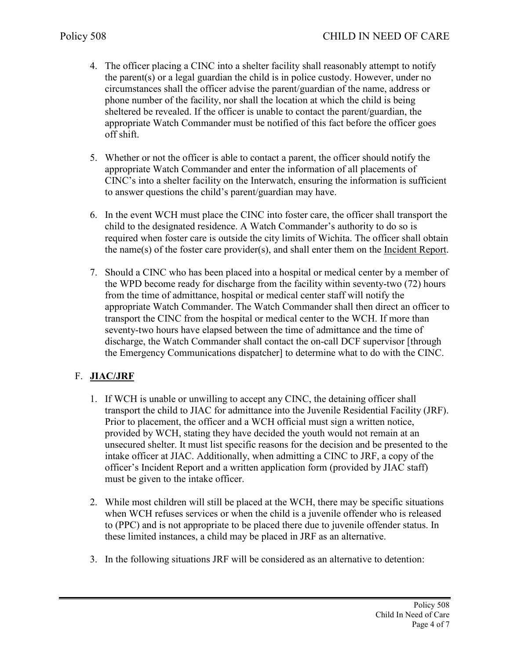- 4. The officer placing a CINC into a shelter facility shall reasonably attempt to notify the parent(s) or a legal guardian the child is in police custody. However, under no circumstances shall the officer advise the parent/guardian of the name, address or phone number of the facility, nor shall the location at which the child is being sheltered be revealed. If the officer is unable to contact the parent/guardian, the appropriate Watch Commander must be notified of this fact before the officer goes off shift.
- 5. Whether or not the officer is able to contact a parent, the officer should notify the appropriate Watch Commander and enter the information of all placements of CINC's into a shelter facility on the Interwatch, ensuring the information is sufficient to answer questions the child's parent/guardian may have.
- 6. In the event WCH must place the CINC into foster care, the officer shall transport the child to the designated residence. A Watch Commander's authority to do so is required when foster care is outside the city limits of Wichita. The officer shall obtain the name(s) of the foster care provider(s), and shall enter them on the Incident Report.
- 7. Should a CINC who has been placed into a hospital or medical center by a member of the WPD become ready for discharge from the facility within seventy-two (72) hours from the time of admittance, hospital or medical center staff will notify the appropriate Watch Commander. The Watch Commander shall then direct an officer to transport the CINC from the hospital or medical center to the WCH. If more than seventy-two hours have elapsed between the time of admittance and the time of discharge, the Watch Commander shall contact the on-call DCF supervisor [through the Emergency Communications dispatcher] to determine what to do with the CINC.

# F. **JIAC/JRF**

- 1. If WCH is unable or unwilling to accept any CINC, the detaining officer shall transport the child to JIAC for admittance into the Juvenile Residential Facility (JRF). Prior to placement, the officer and a WCH official must sign a written notice, provided by WCH, stating they have decided the youth would not remain at an unsecured shelter. It must list specific reasons for the decision and be presented to the intake officer at JIAC. Additionally, when admitting a CINC to JRF, a copy of the officer's Incident Report and a written application form (provided by JIAC staff) must be given to the intake officer.
- 2. While most children will still be placed at the WCH, there may be specific situations when WCH refuses services or when the child is a juvenile offender who is released to (PPC) and is not appropriate to be placed there due to juvenile offender status. In these limited instances, a child may be placed in JRF as an alternative.
- 3. In the following situations JRF will be considered as an alternative to detention: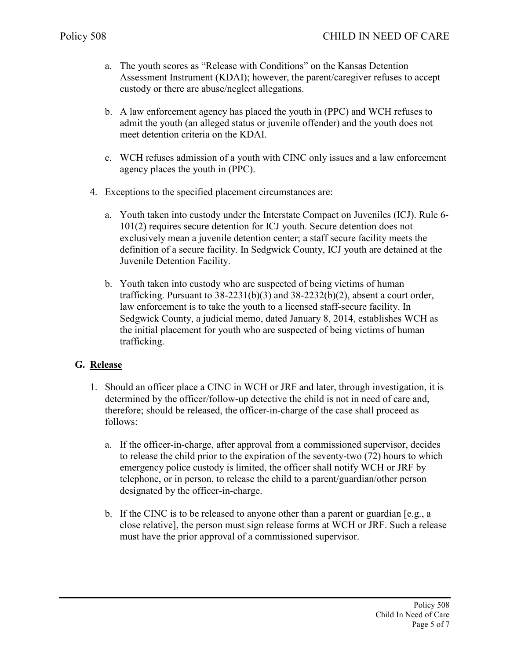- a. The youth scores as "Release with Conditions" on the Kansas Detention Assessment Instrument (KDAI); however, the parent/caregiver refuses to accept custody or there are abuse/neglect allegations.
- b. A law enforcement agency has placed the youth in (PPC) and WCH refuses to admit the youth (an alleged status or juvenile offender) and the youth does not meet detention criteria on the KDAI.
- c. WCH refuses admission of a youth with CINC only issues and a law enforcement agency places the youth in (PPC).
- 4. Exceptions to the specified placement circumstances are:
	- a. Youth taken into custody under the Interstate Compact on Juveniles (ICJ). Rule 6- 101(2) requires secure detention for ICJ youth. Secure detention does not exclusively mean a juvenile detention center; a staff secure facility meets the definition of a secure facility. In Sedgwick County, ICJ youth are detained at the Juvenile Detention Facility.
	- b. Youth taken into custody who are suspected of being victims of human trafficking. Pursuant to  $38-2231(b)(3)$  and  $38-2232(b)(2)$ , absent a court order, law enforcement is to take the youth to a licensed staff-secure facility. In Sedgwick County, a judicial memo, dated January 8, 2014, establishes WCH as the initial placement for youth who are suspected of being victims of human trafficking.

## **G. Release**

- 1. Should an officer place a CINC in WCH or JRF and later, through investigation, it is determined by the officer/follow-up detective the child is not in need of care and, therefore; should be released, the officer-in-charge of the case shall proceed as follows:
	- a. If the officer-in-charge, after approval from a commissioned supervisor, decides to release the child prior to the expiration of the seventy-two (72) hours to which emergency police custody is limited, the officer shall notify WCH or JRF by telephone, or in person, to release the child to a parent/guardian/other person designated by the officer-in-charge.
	- b. If the CINC is to be released to anyone other than a parent or guardian [e.g., a close relative], the person must sign release forms at WCH or JRF. Such a release must have the prior approval of a commissioned supervisor.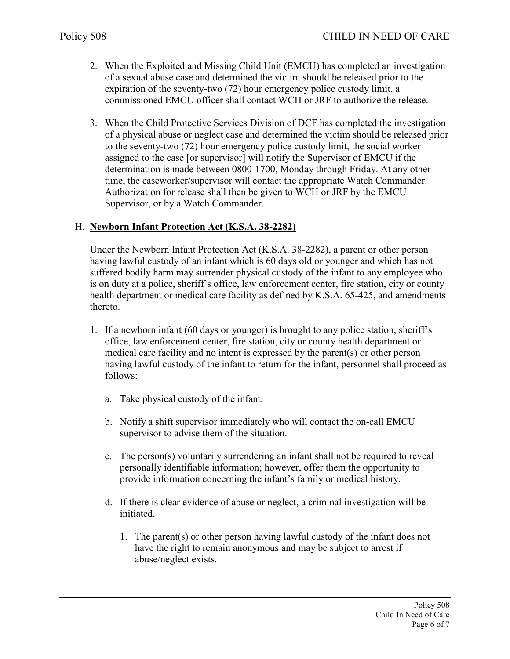- 2. When the Exploited and Missing Child Unit (EMCU) has completed an investigation of a sexual abuse case and determined the victim should be released prior to the expiration of the seventy-two (72) hour emergency police custody limit, a commissioned EMCU officer shall contact WCH or JRF to authorize the release.
- 3. When the Child Protective Services Division of DCF has completed the investigation of a physical abuse or neglect case and determined the victim should be released prior to the seventy-two (72) hour emergency police custody limit, the social worker assigned to the case [or supervisor] will notify the Supervisor of EMCU if the determination is made between 0800-1700, Monday through Friday. At any other time, the caseworker/supervisor will contact the appropriate Watch Commander. Authorization for release shall then be given to WCH or JRF by the EMCU Supervisor, or by a Watch Commander.

# H. **Newborn Infant Protection Act (K.S.A. 38-2282)**

Under the Newborn Infant Protection Act (K.S.A. 38-2282), a parent or other person having lawful custody of an infant which is 60 days old or younger and which has not suffered bodily harm may surrender physical custody of the infant to any employee who is on duty at a police, sheriff's office, law enforcement center, fire station, city or county health department or medical care facility as defined by K.S.A. 65-425, and amendments thereto.

- 1. If a newborn infant (60 days or younger) is brought to any police station, sheriff's office, law enforcement center, fire station, city or county health department or medical care facility and no intent is expressed by the parent(s) or other person having lawful custody of the infant to return for the infant, personnel shall proceed as follows:
	- a. Take physical custody of the infant.
	- b. Notify a shift supervisor immediately who will contact the on-call EMCU supervisor to advise them of the situation.
	- c. The person(s) voluntarily surrendering an infant shall not be required to reveal personally identifiable information; however, offer them the opportunity to provide information concerning the infant's family or medical history.
	- d. If there is clear evidence of abuse or neglect, a criminal investigation will be initiated.
		- 1. The parent(s) or other person having lawful custody of the infant does not have the right to remain anonymous and may be subject to arrest if abuse/neglect exists.